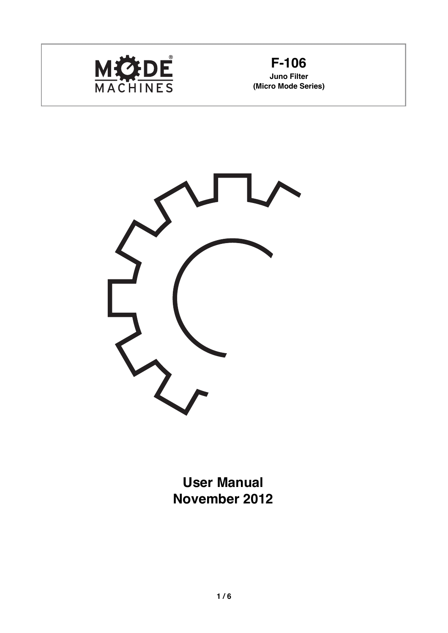



**User Manual November 2012**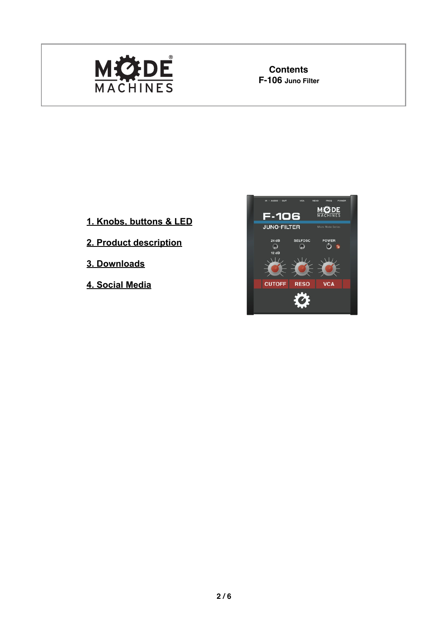

**Contents**<br>F-106 Juno Filter

- **1. Knobs, buttons & LED**
- **2. Product description**
- **3. Downloads**
- **4. Social Media**

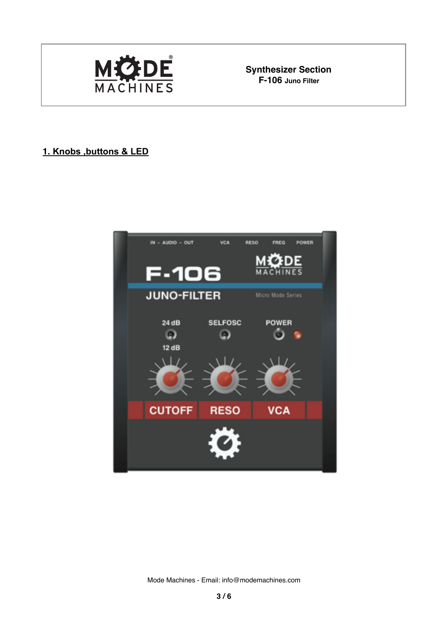

**Synthesizer Section**<br>**F-106** Juno Filter

## **1. Knobs ,buttons & LED**



Mode Machines - Email: [info@modemachines.com](mailto:info@modemachines.com)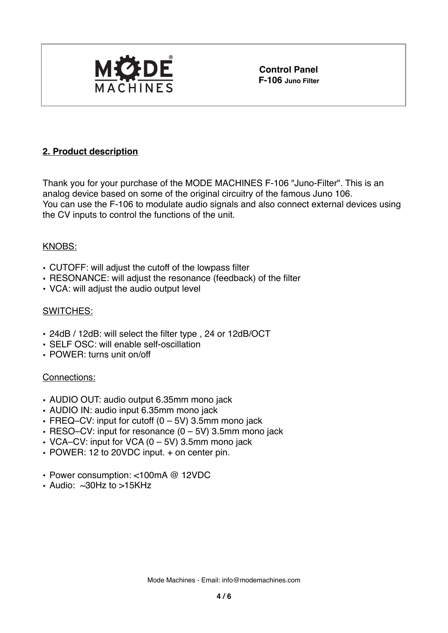

**Control Panel F-106 Juno Filter**

## **2. Product description**

Thank you for your purchase of the MODE MACHINES F-106 "Juno-Filter". This is an analog device based on some of the original circuitry of the famous Juno 106. You can use the F-106 to modulate audio signals and also connect external devices using the CV inputs to control the functions of the unit.

### KNOBS:

- CUTOFF: will adjust the cutoff of the lowpass filter
- RESONANCE: will adjust the resonance (feedback) of the filter
- VCA: will adjust the audio output level

## SWITCHES:

- 24dB / 12dB: will select the filter type , 24 or 12dB/OCT
- SELF OSC: will enable self-oscillation
- POWER: turns unit on/off

### Connections:

- AUDIO OUT: audio output 6.35mm mono jack
- AUDIO IN: audio input 6.35mm mono jack
- FREQ–CV: input for cutoff  $(0 5V)$  3.5mm mono jack
- RESO–CV: input for resonance (0 5V) 3.5mm mono jack
- VCA–CV: input for VCA (0 5V) 3.5mm mono jack
- POWER: 12 to 20VDC input. + on center pin.
- Power consumption: <100mA @ 12VDC
- Audio:  $\approx 30$ Hz to  $> 15$ KHz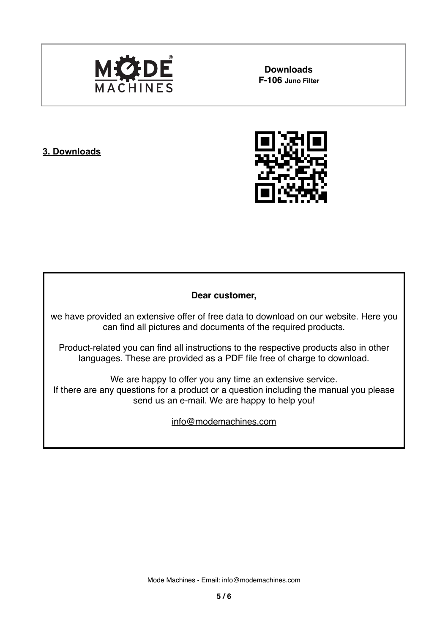

**Downloads**

### **3. Downloads**



#### **Dear customer,**

we have provided an extensive offer of free data to download on our website. Here you can find all pictures and documents of the required products.

Product-related you can find all instructions to the respective products also in other languages. These are provided as a PDF file free of charge to download.

We are happy to offer you any time an extensive service. If there are any questions for a product or a question including the manual you please send us an e-mail. We are happy to help you!

[info@modemachines.com](mailto:info@modemachines.com)

Mode Machines - Email: [info@modemachines.com](mailto:info@modemachines.com)